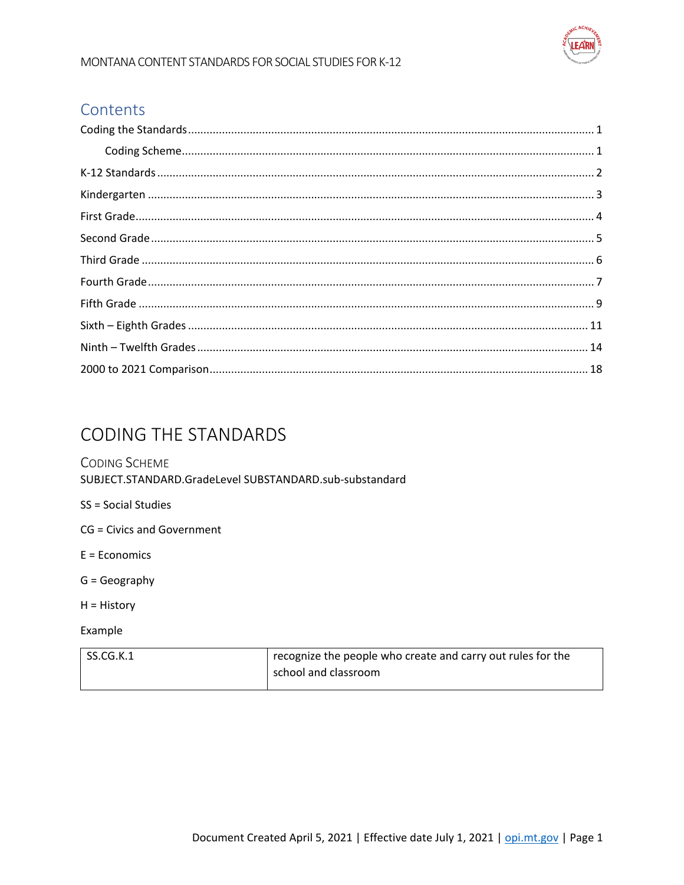

#### Contents

| $\textbf{Coding Scheme}.\textcolor{red}{\textbf{Coding Scheme}}. \textcolor{red}{\textbf{1}}$ |  |
|-----------------------------------------------------------------------------------------------|--|
|                                                                                               |  |
|                                                                                               |  |
|                                                                                               |  |
|                                                                                               |  |
|                                                                                               |  |
|                                                                                               |  |
|                                                                                               |  |
|                                                                                               |  |
|                                                                                               |  |
|                                                                                               |  |
|                                                                                               |  |

## <span id="page-0-0"></span>**CODING THE STANDARDS**

#### <span id="page-0-1"></span>**CODING SCHEME** SUBJECT.STANDARD.GradeLevel SUBSTANDARD.sub-substandard

- SS = Social Studies
- CG = Civics and Government
- $E = Economics$
- $G = Geography$
- H = History
- Example

| SS.CG.K.1 | recognize the people who create and carry out rules for the |
|-----------|-------------------------------------------------------------|
|           | school and classroom                                        |
|           |                                                             |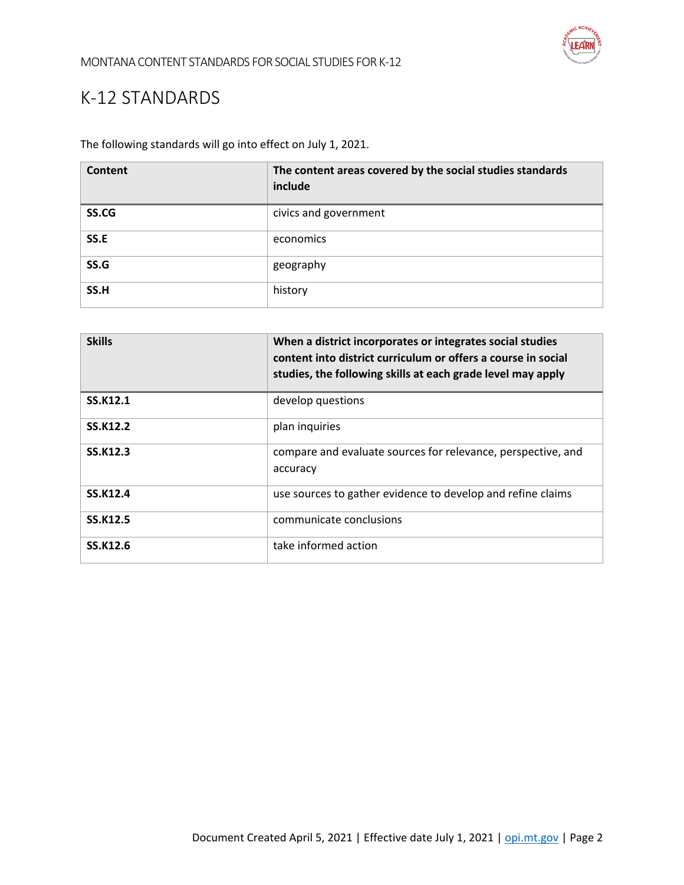

## <span id="page-1-0"></span>K-12 STANDARDS

The following standards will go into effect on July 1, 2021.

| Content | The content areas covered by the social studies standards<br>include |
|---------|----------------------------------------------------------------------|
| SS.CG   | civics and government                                                |
| SS.E    | economics                                                            |
| SS.G    | geography                                                            |
| SS.H    | history                                                              |

| <b>Skills</b>   | When a district incorporates or integrates social studies<br>content into district curriculum or offers a course in social<br>studies, the following skills at each grade level may apply |
|-----------------|-------------------------------------------------------------------------------------------------------------------------------------------------------------------------------------------|
| <b>SS.K12.1</b> | develop questions                                                                                                                                                                         |
| <b>SS.K12.2</b> | plan inquiries                                                                                                                                                                            |
| <b>SS.K12.3</b> | compare and evaluate sources for relevance, perspective, and<br>accuracy                                                                                                                  |
| SS.K12.4        | use sources to gather evidence to develop and refine claims                                                                                                                               |
| <b>SS.K12.5</b> | communicate conclusions                                                                                                                                                                   |
| SS.K12.6        | take informed action                                                                                                                                                                      |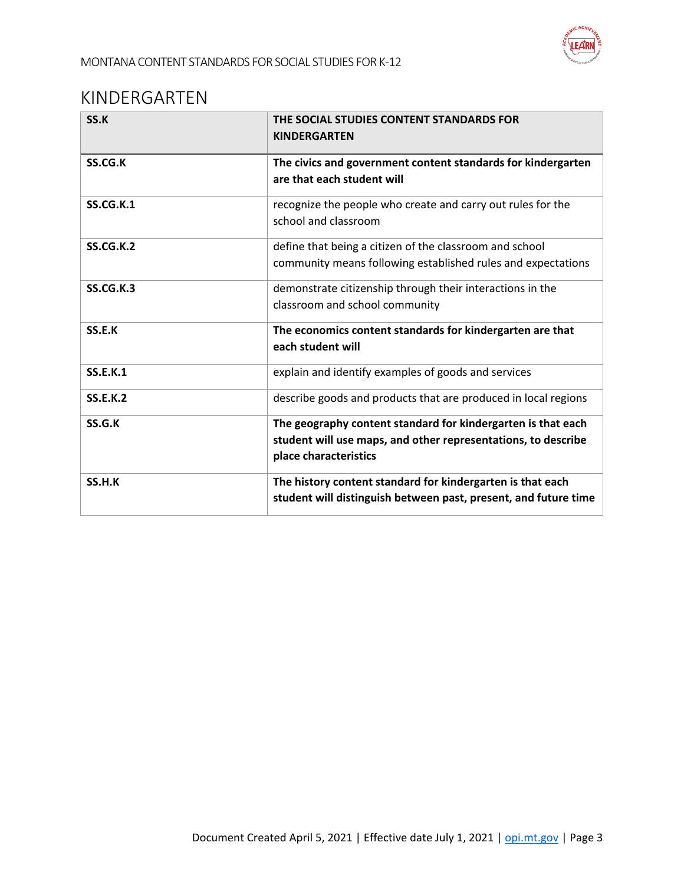

#### <span id="page-2-0"></span>KINDERGARTEN

| SS.K             | THE SOCIAL STUDIES CONTENT STANDARDS FOR<br><b>KINDERGARTEN</b>                                                                                        |
|------------------|--------------------------------------------------------------------------------------------------------------------------------------------------------|
| SS.CG.K          | The civics and government content standards for kindergarten<br>are that each student will                                                             |
| <b>SS.CG.K.1</b> | recognize the people who create and carry out rules for the<br>school and classroom                                                                    |
| <b>SS.CG.K.2</b> | define that being a citizen of the classroom and school<br>community means following established rules and expectations                                |
| <b>SS.CG.K.3</b> | demonstrate citizenship through their interactions in the<br>classroom and school community                                                            |
| SS.E.K           | The economics content standards for kindergarten are that<br>each student will                                                                         |
| <b>SS.E.K.1</b>  | explain and identify examples of goods and services                                                                                                    |
| <b>SS.E.K.2</b>  | describe goods and products that are produced in local regions                                                                                         |
| SS.G.K           | The geography content standard for kindergarten is that each<br>student will use maps, and other representations, to describe<br>place characteristics |
| SS.H.K           | The history content standard for kindergarten is that each<br>student will distinguish between past, present, and future time                          |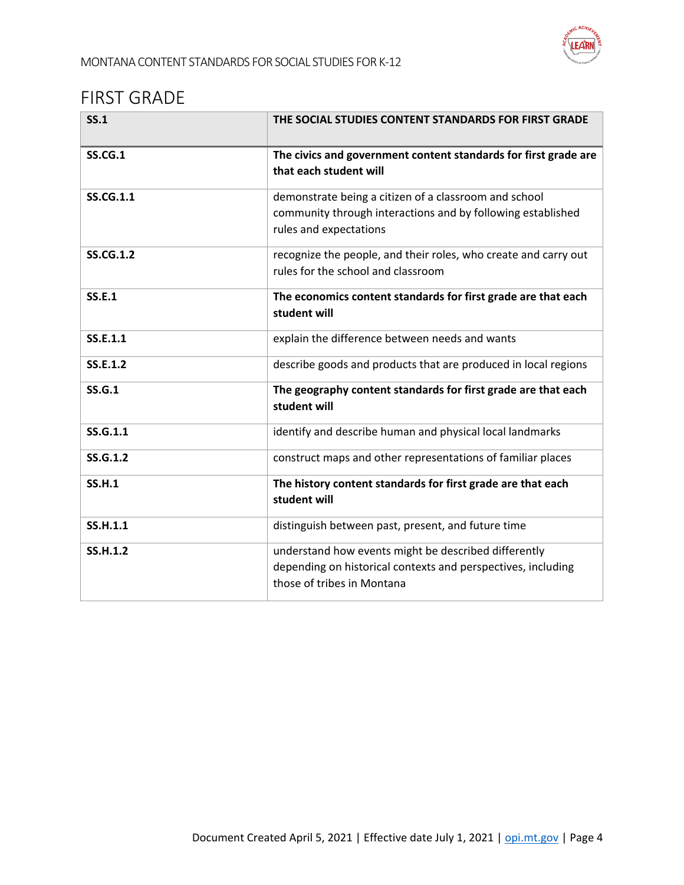

#### <span id="page-3-0"></span>FIRST GRADE

| SS.1             | THE SOCIAL STUDIES CONTENT STANDARDS FOR FIRST GRADE                                                                                               |
|------------------|----------------------------------------------------------------------------------------------------------------------------------------------------|
| <b>SS.CG.1</b>   | The civics and government content standards for first grade are<br>that each student will                                                          |
| <b>SS.CG.1.1</b> | demonstrate being a citizen of a classroom and school<br>community through interactions and by following established<br>rules and expectations     |
| <b>SS.CG.1.2</b> | recognize the people, and their roles, who create and carry out<br>rules for the school and classroom                                              |
| <b>SS.E.1</b>    | The economics content standards for first grade are that each<br>student will                                                                      |
| SS.E.1.1         | explain the difference between needs and wants                                                                                                     |
| SS.E.1.2         | describe goods and products that are produced in local regions                                                                                     |
| <b>SS.G.1</b>    | The geography content standards for first grade are that each<br>student will                                                                      |
| SS.G.1.1         | identify and describe human and physical local landmarks                                                                                           |
| <b>SS.G.1.2</b>  | construct maps and other representations of familiar places                                                                                        |
| <b>SS.H.1</b>    | The history content standards for first grade are that each<br>student will                                                                        |
| <b>SS.H.1.1</b>  | distinguish between past, present, and future time                                                                                                 |
| <b>SS.H.1.2</b>  | understand how events might be described differently<br>depending on historical contexts and perspectives, including<br>those of tribes in Montana |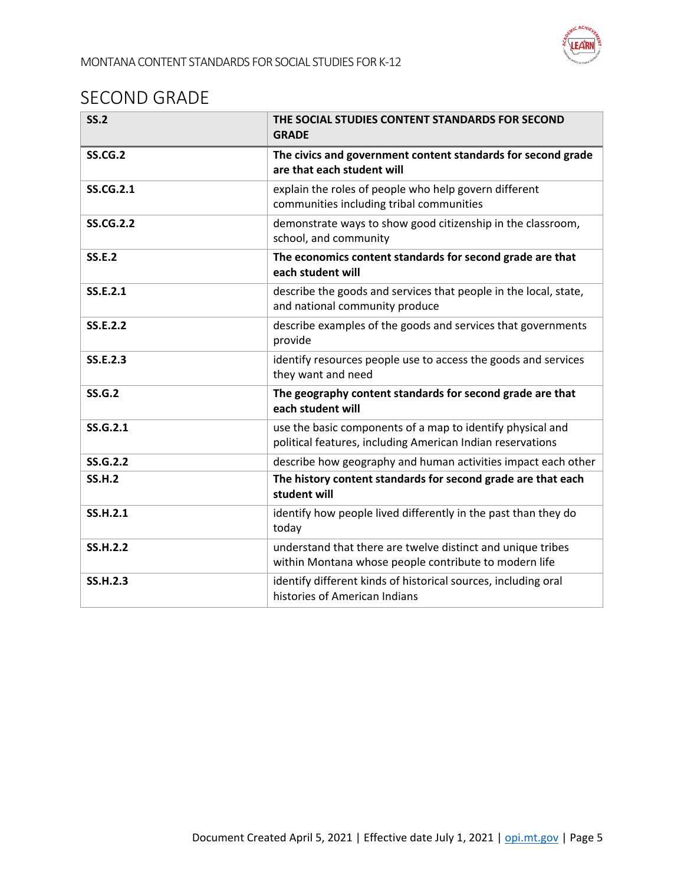

## <span id="page-4-0"></span>SECOND GRADE

| SS.2             | THE SOCIAL STUDIES CONTENT STANDARDS FOR SECOND<br><b>GRADE</b>                                                          |
|------------------|--------------------------------------------------------------------------------------------------------------------------|
| <b>SS.CG.2</b>   | The civics and government content standards for second grade<br>are that each student will                               |
| <b>SS.CG.2.1</b> | explain the roles of people who help govern different<br>communities including tribal communities                        |
| <b>SS.CG.2.2</b> | demonstrate ways to show good citizenship in the classroom,<br>school, and community                                     |
| <b>SS.E.2</b>    | The economics content standards for second grade are that<br>each student will                                           |
| SS.E.2.1         | describe the goods and services that people in the local, state,<br>and national community produce                       |
| <b>SS.E.2.2</b>  | describe examples of the goods and services that governments<br>provide                                                  |
| SS.E.2.3         | identify resources people use to access the goods and services<br>they want and need                                     |
| <b>SS.G.2</b>    | The geography content standards for second grade are that<br>each student will                                           |
| SS.G.2.1         | use the basic components of a map to identify physical and<br>political features, including American Indian reservations |
| SS.G.2.2         | describe how geography and human activities impact each other                                                            |
| <b>SS.H.2</b>    | The history content standards for second grade are that each<br>student will                                             |
| <b>SS.H.2.1</b>  | identify how people lived differently in the past than they do<br>today                                                  |
| <b>SS.H.2.2</b>  | understand that there are twelve distinct and unique tribes<br>within Montana whose people contribute to modern life     |
| <b>SS.H.2.3</b>  | identify different kinds of historical sources, including oral<br>histories of American Indians                          |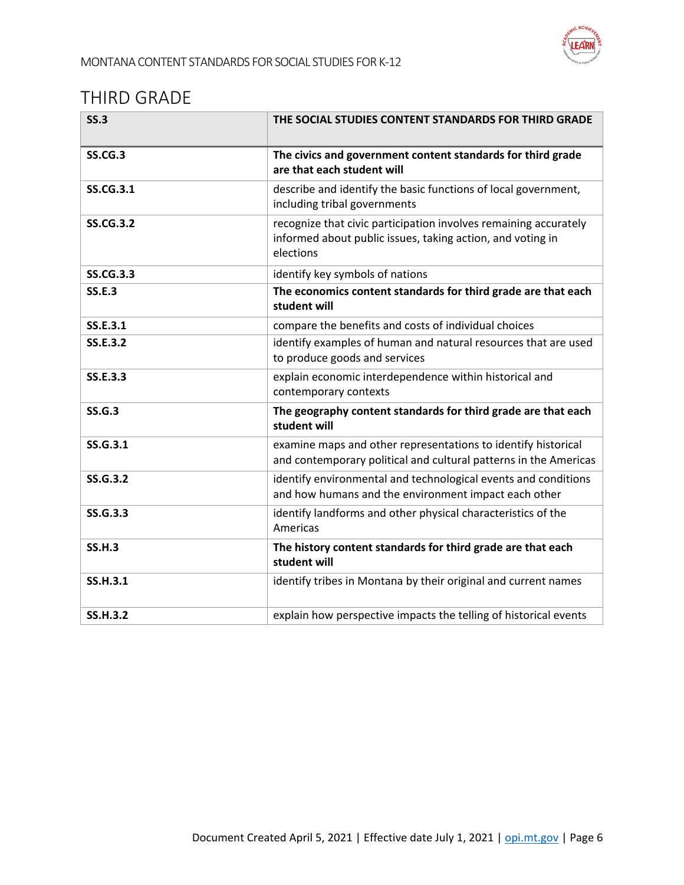

## <span id="page-5-0"></span>THIRD GRADE

| SS.3             | THE SOCIAL STUDIES CONTENT STANDARDS FOR THIRD GRADE                                                                                        |
|------------------|---------------------------------------------------------------------------------------------------------------------------------------------|
| <b>SS.CG.3</b>   | The civics and government content standards for third grade<br>are that each student will                                                   |
| <b>SS.CG.3.1</b> | describe and identify the basic functions of local government,<br>including tribal governments                                              |
| <b>SS.CG.3.2</b> | recognize that civic participation involves remaining accurately<br>informed about public issues, taking action, and voting in<br>elections |
| <b>SS.CG.3.3</b> | identify key symbols of nations                                                                                                             |
| <b>SS.E.3</b>    | The economics content standards for third grade are that each<br>student will                                                               |
| SS.E.3.1         | compare the benefits and costs of individual choices                                                                                        |
| <b>SS.E.3.2</b>  | identify examples of human and natural resources that are used<br>to produce goods and services                                             |
| <b>SS.E.3.3</b>  | explain economic interdependence within historical and<br>contemporary contexts                                                             |
| SS.G.3           | The geography content standards for third grade are that each<br>student will                                                               |
| SS.G.3.1         | examine maps and other representations to identify historical<br>and contemporary political and cultural patterns in the Americas           |
| SS.G.3.2         | identify environmental and technological events and conditions<br>and how humans and the environment impact each other                      |
| <b>SS.G.3.3</b>  | identify landforms and other physical characteristics of the<br>Americas                                                                    |
| <b>SS.H.3</b>    | The history content standards for third grade are that each<br>student will                                                                 |
| <b>SS.H.3.1</b>  | identify tribes in Montana by their original and current names                                                                              |
| <b>SS.H.3.2</b>  | explain how perspective impacts the telling of historical events                                                                            |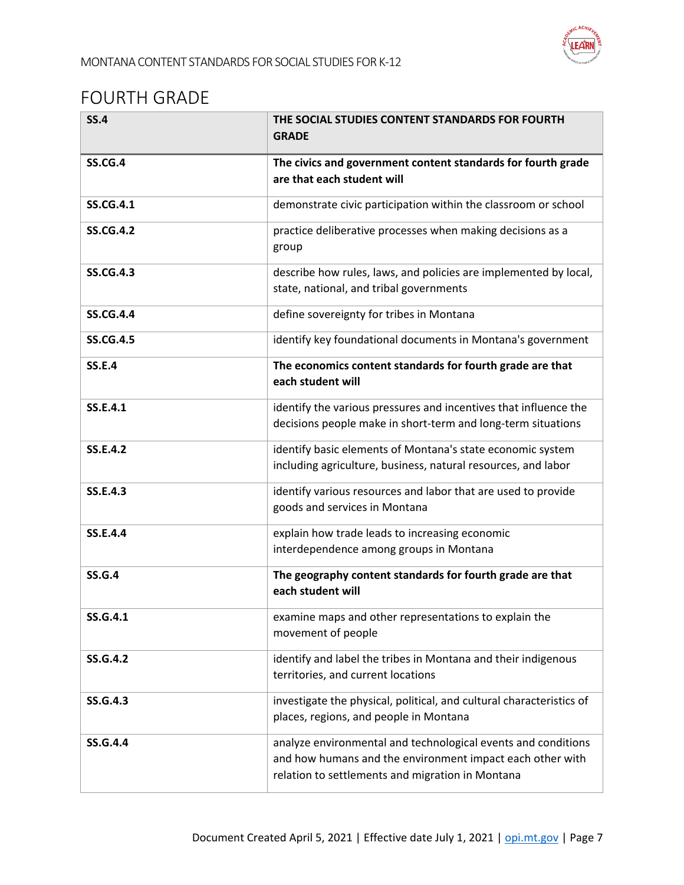

## <span id="page-6-0"></span>FOURTH GRADE

| <b>SS.4</b>      | THE SOCIAL STUDIES CONTENT STANDARDS FOR FOURTH<br><b>GRADE</b>                                                                                                                |
|------------------|--------------------------------------------------------------------------------------------------------------------------------------------------------------------------------|
| <b>SS.CG.4</b>   | The civics and government content standards for fourth grade<br>are that each student will                                                                                     |
| <b>SS.CG.4.1</b> | demonstrate civic participation within the classroom or school                                                                                                                 |
| <b>SS.CG.4.2</b> | practice deliberative processes when making decisions as a<br>group                                                                                                            |
| <b>SS.CG.4.3</b> | describe how rules, laws, and policies are implemented by local,<br>state, national, and tribal governments                                                                    |
| <b>SS.CG.4.4</b> | define sovereignty for tribes in Montana                                                                                                                                       |
| <b>SS.CG.4.5</b> | identify key foundational documents in Montana's government                                                                                                                    |
| <b>SS.E.4</b>    | The economics content standards for fourth grade are that<br>each student will                                                                                                 |
| SS.E.4.1         | identify the various pressures and incentives that influence the<br>decisions people make in short-term and long-term situations                                               |
| <b>SS.E.4.2</b>  | identify basic elements of Montana's state economic system<br>including agriculture, business, natural resources, and labor                                                    |
| <b>SS.E.4.3</b>  | identify various resources and labor that are used to provide<br>goods and services in Montana                                                                                 |
| <b>SS.E.4.4</b>  | explain how trade leads to increasing economic<br>interdependence among groups in Montana                                                                                      |
| <b>SS.G.4</b>    | The geography content standards for fourth grade are that<br>each student will                                                                                                 |
| SS.G.4.1         | examine maps and other representations to explain the<br>movement of people                                                                                                    |
| <b>SS.G.4.2</b>  | identify and label the tribes in Montana and their indigenous<br>territories, and current locations                                                                            |
| <b>SS.G.4.3</b>  | investigate the physical, political, and cultural characteristics of<br>places, regions, and people in Montana                                                                 |
| <b>SS.G.4.4</b>  | analyze environmental and technological events and conditions<br>and how humans and the environment impact each other with<br>relation to settlements and migration in Montana |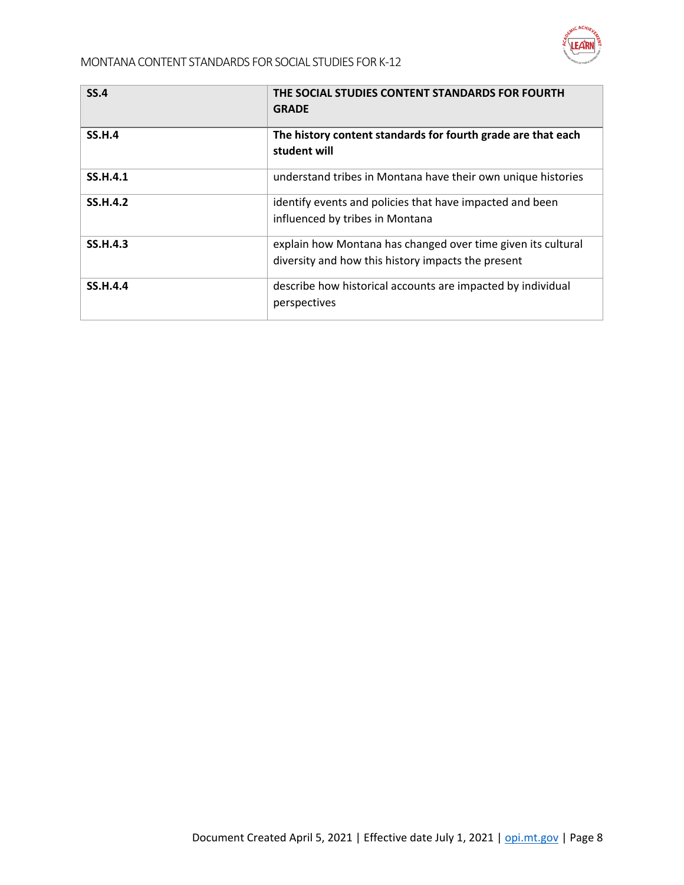

| <b>SS.4</b>     | THE SOCIAL STUDIES CONTENT STANDARDS FOR FOURTH<br><b>GRADE</b>                                                    |
|-----------------|--------------------------------------------------------------------------------------------------------------------|
| <b>SS.H.4</b>   | The history content standards for fourth grade are that each<br>student will                                       |
| <b>SS.H.4.1</b> | understand tribes in Montana have their own unique histories                                                       |
| <b>SS.H.4.2</b> | identify events and policies that have impacted and been<br>influenced by tribes in Montana                        |
| <b>SS.H.4.3</b> | explain how Montana has changed over time given its cultural<br>diversity and how this history impacts the present |
| <b>SS.H.4.4</b> | describe how historical accounts are impacted by individual<br>perspectives                                        |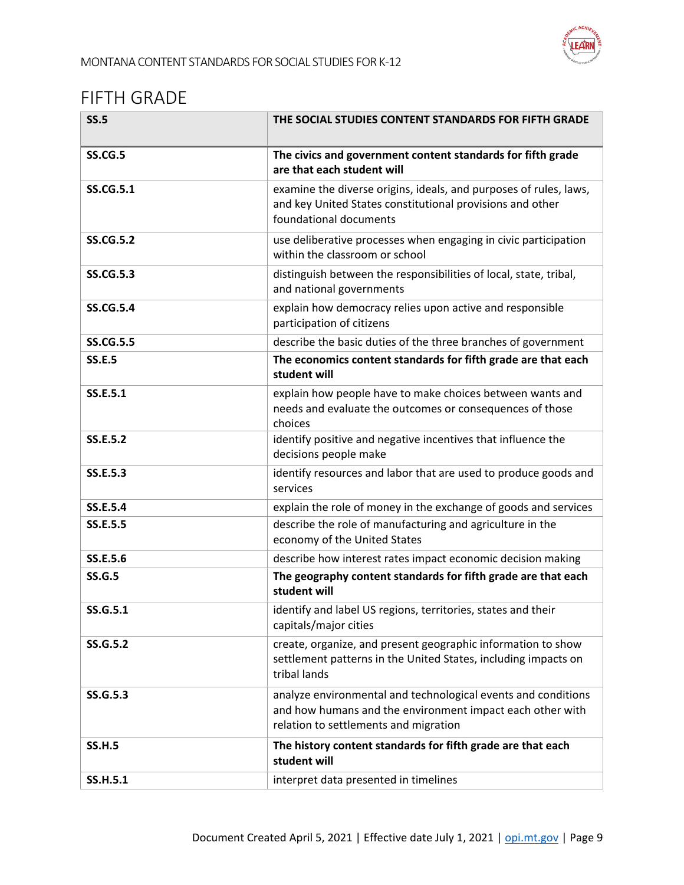

## <span id="page-8-0"></span>FIFTH GRADE

| <b>SS.5</b>      | THE SOCIAL STUDIES CONTENT STANDARDS FOR FIFTH GRADE                                                                                                                |
|------------------|---------------------------------------------------------------------------------------------------------------------------------------------------------------------|
| <b>SS.CG.5</b>   | The civics and government content standards for fifth grade<br>are that each student will                                                                           |
| <b>SS.CG.5.1</b> | examine the diverse origins, ideals, and purposes of rules, laws,<br>and key United States constitutional provisions and other<br>foundational documents            |
| <b>SS.CG.5.2</b> | use deliberative processes when engaging in civic participation<br>within the classroom or school                                                                   |
| <b>SS.CG.5.3</b> | distinguish between the responsibilities of local, state, tribal,<br>and national governments                                                                       |
| <b>SS.CG.5.4</b> | explain how democracy relies upon active and responsible<br>participation of citizens                                                                               |
| <b>SS.CG.5.5</b> | describe the basic duties of the three branches of government                                                                                                       |
| <b>SS.E.5</b>    | The economics content standards for fifth grade are that each<br>student will                                                                                       |
| SS.E.5.1         | explain how people have to make choices between wants and<br>needs and evaluate the outcomes or consequences of those<br>choices                                    |
| SS.E.5.2         | identify positive and negative incentives that influence the<br>decisions people make                                                                               |
| SS.E.5.3         | identify resources and labor that are used to produce goods and<br>services                                                                                         |
| <b>SS.E.5.4</b>  | explain the role of money in the exchange of goods and services                                                                                                     |
| <b>SS.E.5.5</b>  | describe the role of manufacturing and agriculture in the<br>economy of the United States                                                                           |
| SS.E.5.6         | describe how interest rates impact economic decision making                                                                                                         |
| <b>SS.G.5</b>    | The geography content standards for fifth grade are that each<br>student will                                                                                       |
| SS.G.5.1         | identify and label US regions, territories, states and their<br>capitals/major cities                                                                               |
| <b>SS.G.5.2</b>  | create, organize, and present geographic information to show<br>settlement patterns in the United States, including impacts on<br>tribal lands                      |
| SS.G.5.3         | analyze environmental and technological events and conditions<br>and how humans and the environment impact each other with<br>relation to settlements and migration |
| <b>SS.H.5</b>    | The history content standards for fifth grade are that each<br>student will                                                                                         |
| <b>SS.H.5.1</b>  | interpret data presented in timelines                                                                                                                               |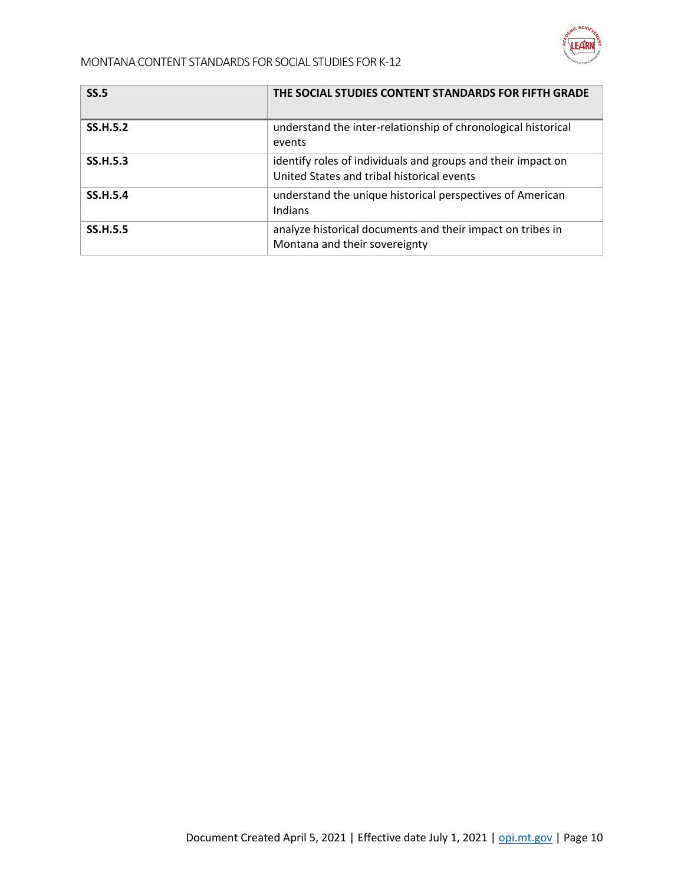

| <b>SS.5</b>     | THE SOCIAL STUDIES CONTENT STANDARDS FOR FIFTH GRADE                                                       |
|-----------------|------------------------------------------------------------------------------------------------------------|
| <b>SS.H.5.2</b> | understand the inter-relationship of chronological historical<br>events                                    |
| <b>SS.H.5.3</b> | identify roles of individuals and groups and their impact on<br>United States and tribal historical events |
| <b>SS.H.5.4</b> | understand the unique historical perspectives of American<br>Indians                                       |
| <b>SS.H.5.5</b> | analyze historical documents and their impact on tribes in<br>Montana and their sovereignty                |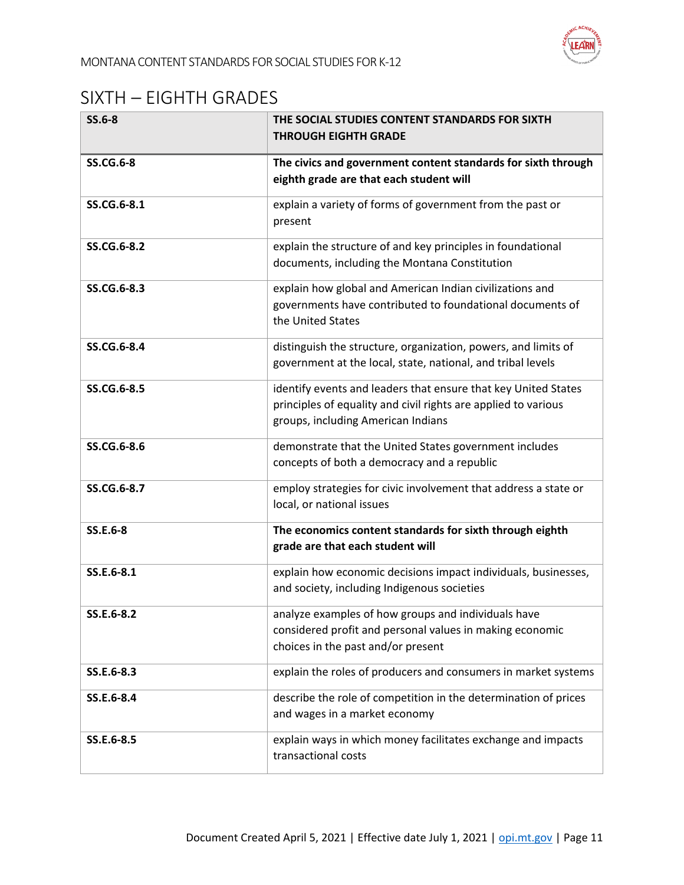

# <span id="page-10-0"></span>SIXTH – EIGHTH GRADES

| $SS.6-8$         | THE SOCIAL STUDIES CONTENT STANDARDS FOR SIXTH<br><b>THROUGH EIGHTH GRADE</b>                                                                                          |
|------------------|------------------------------------------------------------------------------------------------------------------------------------------------------------------------|
| <b>SS.CG.6-8</b> | The civics and government content standards for sixth through<br>eighth grade are that each student will                                                               |
| SS.CG.6-8.1      | explain a variety of forms of government from the past or<br>present                                                                                                   |
| SS.CG.6-8.2      | explain the structure of and key principles in foundational<br>documents, including the Montana Constitution                                                           |
| SS.CG.6-8.3      | explain how global and American Indian civilizations and<br>governments have contributed to foundational documents of<br>the United States                             |
| SS.CG.6-8.4      | distinguish the structure, organization, powers, and limits of<br>government at the local, state, national, and tribal levels                                          |
| SS.CG.6-8.5      | identify events and leaders that ensure that key United States<br>principles of equality and civil rights are applied to various<br>groups, including American Indians |
| SS.CG.6-8.6      | demonstrate that the United States government includes<br>concepts of both a democracy and a republic                                                                  |
| SS.CG.6-8.7      | employ strategies for civic involvement that address a state or<br>local, or national issues                                                                           |
| SS.E.6-8         | The economics content standards for sixth through eighth<br>grade are that each student will                                                                           |
| SS.E.6-8.1       | explain how economic decisions impact individuals, businesses,<br>and society, including Indigenous societies                                                          |
| SS.E.6-8.2       | analyze examples of how groups and individuals have<br>considered profit and personal values in making economic<br>choices in the past and/or present                  |
| SS.E.6-8.3       | explain the roles of producers and consumers in market systems                                                                                                         |
| SS.E.6-8.4       | describe the role of competition in the determination of prices<br>and wages in a market economy                                                                       |
| SS.E.6-8.5       | explain ways in which money facilitates exchange and impacts<br>transactional costs                                                                                    |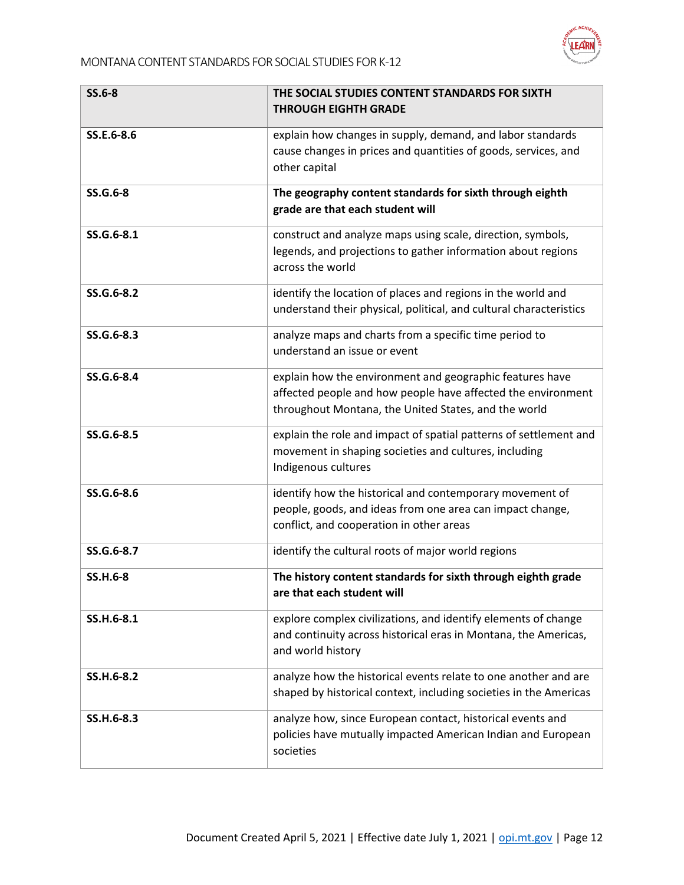

| <b>SS.6-8</b>   | THE SOCIAL STUDIES CONTENT STANDARDS FOR SIXTH<br><b>THROUGH EIGHTH GRADE</b>                                                                                                    |
|-----------------|----------------------------------------------------------------------------------------------------------------------------------------------------------------------------------|
| SS.E.6-8.6      | explain how changes in supply, demand, and labor standards<br>cause changes in prices and quantities of goods, services, and<br>other capital                                    |
| SS.G.6-8        | The geography content standards for sixth through eighth<br>grade are that each student will                                                                                     |
| SS.G.6-8.1      | construct and analyze maps using scale, direction, symbols,<br>legends, and projections to gather information about regions<br>across the world                                  |
| SS.G.6-8.2      | identify the location of places and regions in the world and<br>understand their physical, political, and cultural characteristics                                               |
| SS.G.6-8.3      | analyze maps and charts from a specific time period to<br>understand an issue or event                                                                                           |
| SS.G.6-8.4      | explain how the environment and geographic features have<br>affected people and how people have affected the environment<br>throughout Montana, the United States, and the world |
| SS.G.6-8.5      | explain the role and impact of spatial patterns of settlement and<br>movement in shaping societies and cultures, including<br>Indigenous cultures                                |
| SS.G.6-8.6      | identify how the historical and contemporary movement of<br>people, goods, and ideas from one area can impact change,<br>conflict, and cooperation in other areas                |
| SS.G.6-8.7      | identify the cultural roots of major world regions                                                                                                                               |
| <b>SS.H.6-8</b> | The history content standards for sixth through eighth grade<br>are that each student will                                                                                       |
| SS.H.6-8.1      | explore complex civilizations, and identify elements of change<br>and continuity across historical eras in Montana, the Americas,<br>and world history                           |
| SS.H.6-8.2      | analyze how the historical events relate to one another and are<br>shaped by historical context, including societies in the Americas                                             |
| SS.H.6-8.3      | analyze how, since European contact, historical events and<br>policies have mutually impacted American Indian and European<br>societies                                          |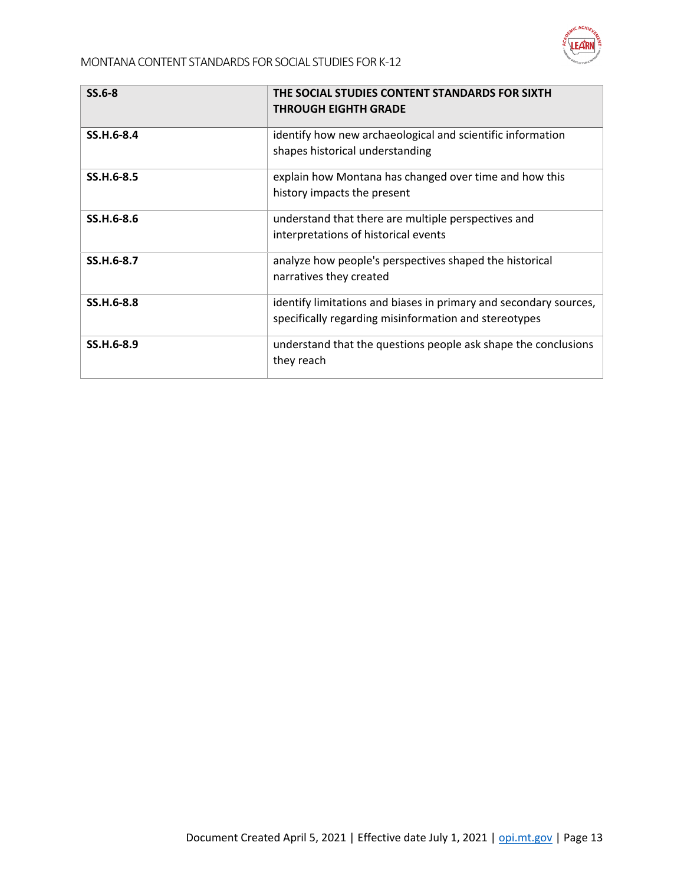

| $SS.6-8$   | THE SOCIAL STUDIES CONTENT STANDARDS FOR SIXTH<br><b>THROUGH EIGHTH GRADE</b>                                              |
|------------|----------------------------------------------------------------------------------------------------------------------------|
| SS.H.6-8.4 | identify how new archaeological and scientific information<br>shapes historical understanding                              |
| SS.H.6-8.5 | explain how Montana has changed over time and how this<br>history impacts the present                                      |
| SS.H.6-8.6 | understand that there are multiple perspectives and<br>interpretations of historical events                                |
| SS.H.6-8.7 | analyze how people's perspectives shaped the historical<br>narratives they created                                         |
| SS.H.6-8.8 | identify limitations and biases in primary and secondary sources,<br>specifically regarding misinformation and stereotypes |
| SS.H.6-8.9 | understand that the questions people ask shape the conclusions<br>they reach                                               |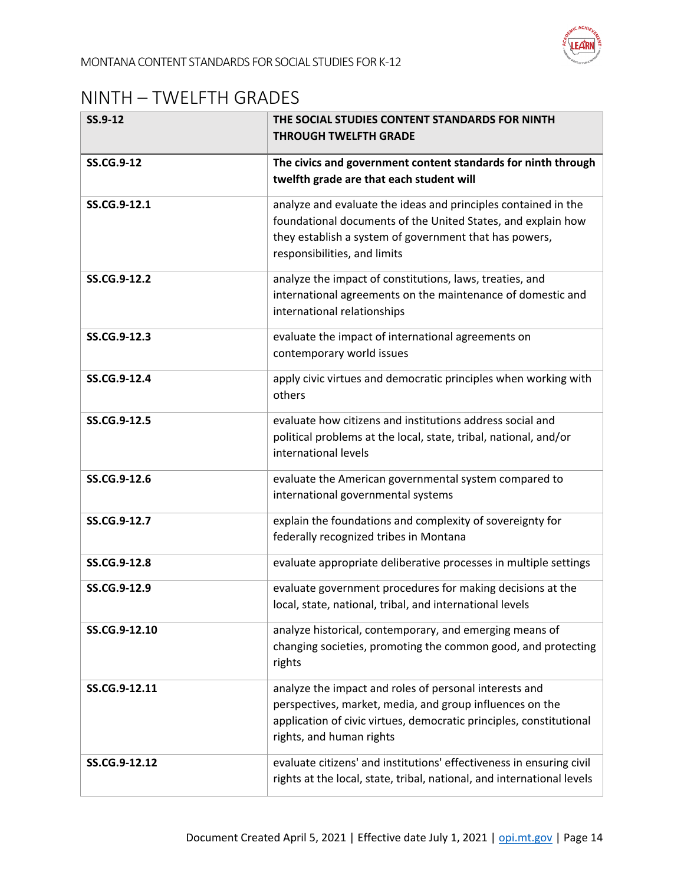

#### <span id="page-13-0"></span>NINTH – TWELFTH GRADES

| SS.9-12           | THE SOCIAL STUDIES CONTENT STANDARDS FOR NINTH<br><b>THROUGH TWELFTH GRADE</b>                                                                                                                                           |  |
|-------------------|--------------------------------------------------------------------------------------------------------------------------------------------------------------------------------------------------------------------------|--|
| <b>SS.CG.9-12</b> | The civics and government content standards for ninth through<br>twelfth grade are that each student will                                                                                                                |  |
| SS.CG.9-12.1      | analyze and evaluate the ideas and principles contained in the<br>foundational documents of the United States, and explain how<br>they establish a system of government that has powers,<br>responsibilities, and limits |  |
| SS.CG.9-12.2      | analyze the impact of constitutions, laws, treaties, and<br>international agreements on the maintenance of domestic and<br>international relationships                                                                   |  |
| SS.CG.9-12.3      | evaluate the impact of international agreements on<br>contemporary world issues                                                                                                                                          |  |
| SS.CG.9-12.4      | apply civic virtues and democratic principles when working with<br>others                                                                                                                                                |  |
| SS.CG.9-12.5      | evaluate how citizens and institutions address social and<br>political problems at the local, state, tribal, national, and/or<br>international levels                                                                    |  |
| SS.CG.9-12.6      | evaluate the American governmental system compared to<br>international governmental systems                                                                                                                              |  |
| SS.CG.9-12.7      | explain the foundations and complexity of sovereignty for<br>federally recognized tribes in Montana                                                                                                                      |  |
| SS.CG.9-12.8      | evaluate appropriate deliberative processes in multiple settings                                                                                                                                                         |  |
| SS.CG.9-12.9      | evaluate government procedures for making decisions at the<br>local, state, national, tribal, and international levels                                                                                                   |  |
| SS.CG.9-12.10     | analyze historical, contemporary, and emerging means of<br>changing societies, promoting the common good, and protecting<br>rights                                                                                       |  |
| SS.CG.9-12.11     | analyze the impact and roles of personal interests and<br>perspectives, market, media, and group influences on the<br>application of civic virtues, democratic principles, constitutional<br>rights, and human rights    |  |
| SS.CG.9-12.12     | evaluate citizens' and institutions' effectiveness in ensuring civil<br>rights at the local, state, tribal, national, and international levels                                                                           |  |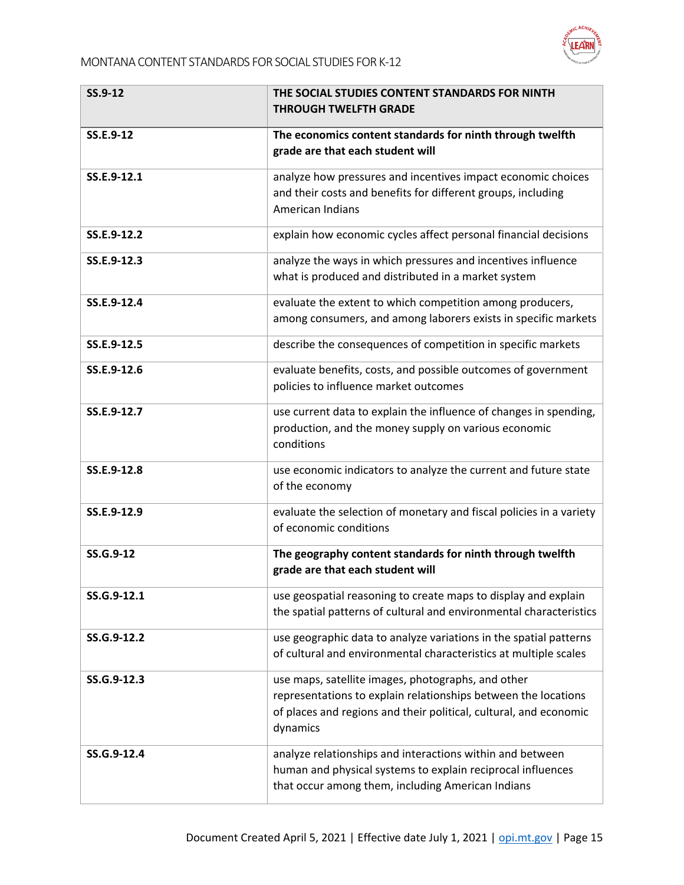

| SS.9-12     | THE SOCIAL STUDIES CONTENT STANDARDS FOR NINTH<br><b>THROUGH TWELFTH GRADE</b>                                                                                                                        |  |
|-------------|-------------------------------------------------------------------------------------------------------------------------------------------------------------------------------------------------------|--|
| SS.E.9-12   | The economics content standards for ninth through twelfth<br>grade are that each student will                                                                                                         |  |
| SS.E.9-12.1 | analyze how pressures and incentives impact economic choices<br>and their costs and benefits for different groups, including<br>American Indians                                                      |  |
| SS.E.9-12.2 | explain how economic cycles affect personal financial decisions                                                                                                                                       |  |
| SS.E.9-12.3 | analyze the ways in which pressures and incentives influence<br>what is produced and distributed in a market system                                                                                   |  |
| SS.E.9-12.4 | evaluate the extent to which competition among producers,<br>among consumers, and among laborers exists in specific markets                                                                           |  |
| SS.E.9-12.5 | describe the consequences of competition in specific markets                                                                                                                                          |  |
| SS.E.9-12.6 | evaluate benefits, costs, and possible outcomes of government<br>policies to influence market outcomes                                                                                                |  |
| SS.E.9-12.7 | use current data to explain the influence of changes in spending,<br>production, and the money supply on various economic<br>conditions                                                               |  |
| SS.E.9-12.8 | use economic indicators to analyze the current and future state<br>of the economy                                                                                                                     |  |
| SS.E.9-12.9 | evaluate the selection of monetary and fiscal policies in a variety<br>of economic conditions                                                                                                         |  |
| SS.G.9-12   | The geography content standards for ninth through twelfth<br>grade are that each student will                                                                                                         |  |
| SS.G.9-12.1 | use geospatial reasoning to create maps to display and explain<br>the spatial patterns of cultural and environmental characteristics                                                                  |  |
| SS.G.9-12.2 | use geographic data to analyze variations in the spatial patterns<br>of cultural and environmental characteristics at multiple scales                                                                 |  |
| SS.G.9-12.3 | use maps, satellite images, photographs, and other<br>representations to explain relationships between the locations<br>of places and regions and their political, cultural, and economic<br>dynamics |  |
| SS.G.9-12.4 | analyze relationships and interactions within and between<br>human and physical systems to explain reciprocal influences<br>that occur among them, including American Indians                         |  |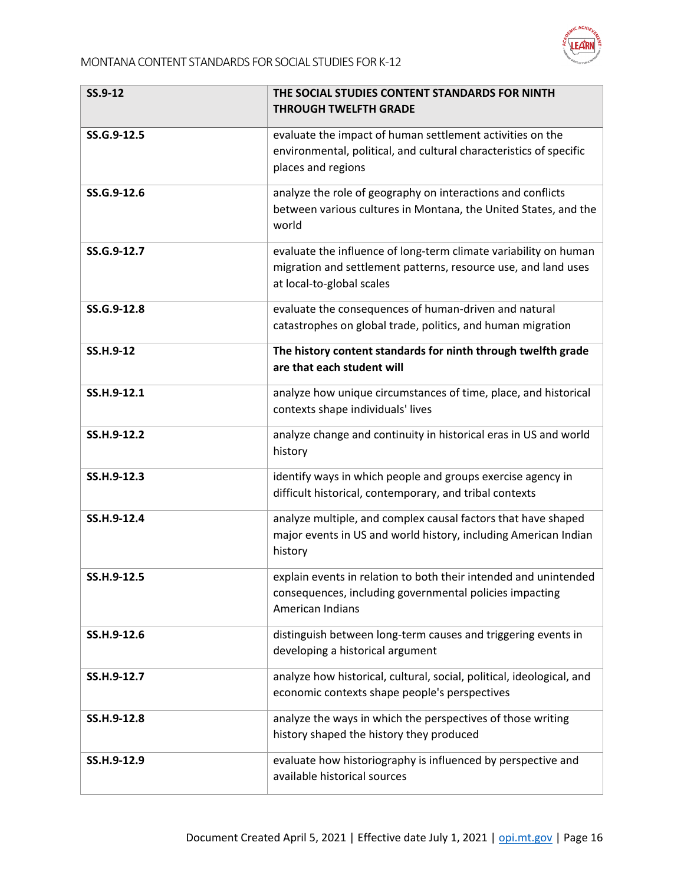

| SS.9-12     | THE SOCIAL STUDIES CONTENT STANDARDS FOR NINTH<br><b>THROUGH TWELFTH GRADE</b>                                                                                  |
|-------------|-----------------------------------------------------------------------------------------------------------------------------------------------------------------|
| SS.G.9-12.5 | evaluate the impact of human settlement activities on the<br>environmental, political, and cultural characteristics of specific<br>places and regions           |
| SS.G.9-12.6 | analyze the role of geography on interactions and conflicts<br>between various cultures in Montana, the United States, and the<br>world                         |
| SS.G.9-12.7 | evaluate the influence of long-term climate variability on human<br>migration and settlement patterns, resource use, and land uses<br>at local-to-global scales |
| SS.G.9-12.8 | evaluate the consequences of human-driven and natural<br>catastrophes on global trade, politics, and human migration                                            |
| SS.H.9-12   | The history content standards for ninth through twelfth grade<br>are that each student will                                                                     |
| SS.H.9-12.1 | analyze how unique circumstances of time, place, and historical<br>contexts shape individuals' lives                                                            |
| SS.H.9-12.2 | analyze change and continuity in historical eras in US and world<br>history                                                                                     |
| SS.H.9-12.3 | identify ways in which people and groups exercise agency in<br>difficult historical, contemporary, and tribal contexts                                          |
| SS.H.9-12.4 | analyze multiple, and complex causal factors that have shaped<br>major events in US and world history, including American Indian<br>history                     |
| SS.H.9-12.5 | explain events in relation to both their intended and unintended<br>consequences, including governmental policies impacting<br><b>American Indians</b>          |
| SS.H.9-12.6 | distinguish between long-term causes and triggering events in<br>developing a historical argument                                                               |
| SS.H.9-12.7 | analyze how historical, cultural, social, political, ideological, and<br>economic contexts shape people's perspectives                                          |
| SS.H.9-12.8 | analyze the ways in which the perspectives of those writing<br>history shaped the history they produced                                                         |
| SS.H.9-12.9 | evaluate how historiography is influenced by perspective and<br>available historical sources                                                                    |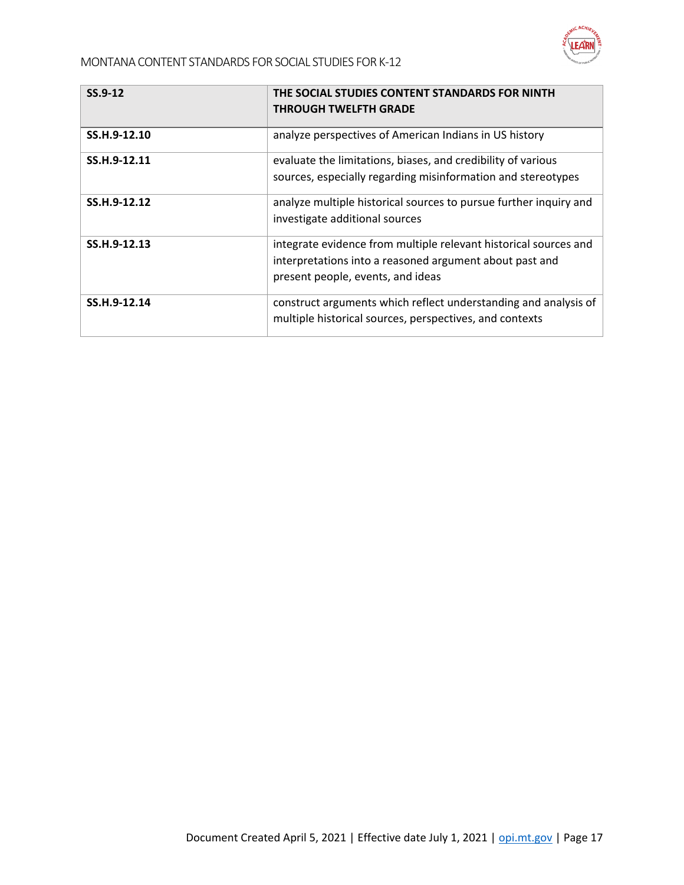

| $SS.9-12$    | THE SOCIAL STUDIES CONTENT STANDARDS FOR NINTH<br><b>THROUGH TWELFTH GRADE</b>                                                                                   |
|--------------|------------------------------------------------------------------------------------------------------------------------------------------------------------------|
| SS.H.9-12.10 | analyze perspectives of American Indians in US history                                                                                                           |
| SS.H.9-12.11 | evaluate the limitations, biases, and credibility of various<br>sources, especially regarding misinformation and stereotypes                                     |
| SS.H.9-12.12 | analyze multiple historical sources to pursue further inquiry and<br>investigate additional sources                                                              |
| SS.H.9-12.13 | integrate evidence from multiple relevant historical sources and<br>interpretations into a reasoned argument about past and<br>present people, events, and ideas |
| SS.H.9-12.14 | construct arguments which reflect understanding and analysis of<br>multiple historical sources, perspectives, and contexts                                       |